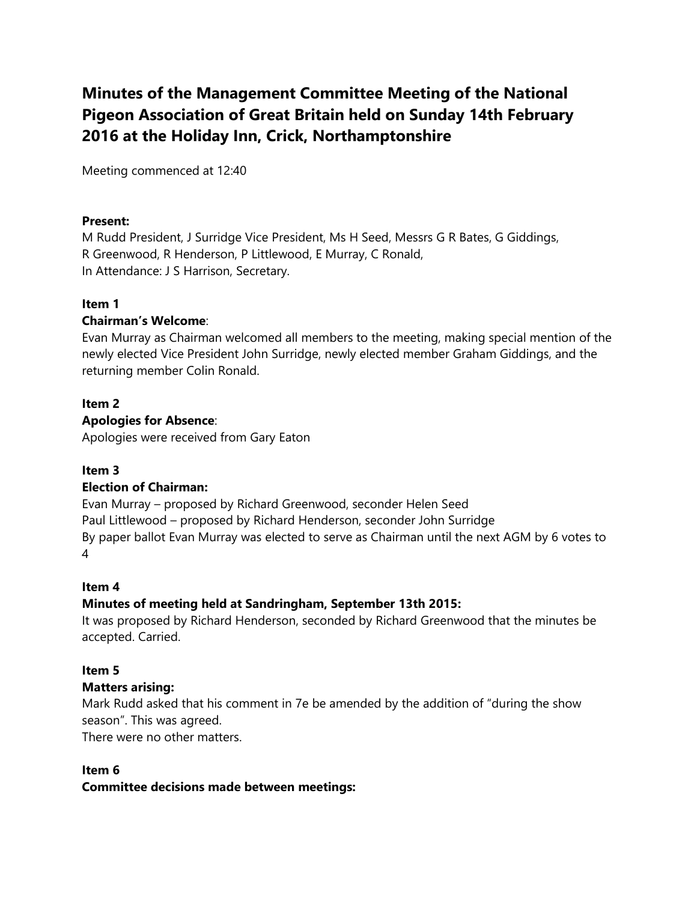# **Minutes of the Management Committee Meeting of the National Pigeon Association of Great Britain held on Sunday 14th February 2016 at the Holiday Inn, Crick, Northamptonshire**

Meeting commenced at 12:40

### **Present:**

M Rudd President, J Surridge Vice President, Ms H Seed, Messrs G R Bates, G Giddings, R Greenwood, R Henderson, P Littlewood, E Murray, C Ronald, In Attendance: J S Harrison, Secretary.

### **Item 1**

### **Chairman's Welcome**:

Evan Murray as Chairman welcomed all members to the meeting, making special mention of the newly elected Vice President John Surridge, newly elected member Graham Giddings, and the returning member Colin Ronald.

#### **Item 2**

#### **Apologies for Absence**:

Apologies were received from Gary Eaton

### **Item 3**

### **Election of Chairman:**

Evan Murray – proposed by Richard Greenwood, seconder Helen Seed Paul Littlewood – proposed by Richard Henderson, seconder John Surridge By paper ballot Evan Murray was elected to serve as Chairman until the next AGM by 6 votes to 4

#### **Item 4**

### **Minutes of meeting held at Sandringham, September 13th 2015:**

It was proposed by Richard Henderson, seconded by Richard Greenwood that the minutes be accepted. Carried.

### **Item 5**

### **Matters arising:**

Mark Rudd asked that his comment in 7e be amended by the addition of "during the show season". This was agreed.

There were no other matters.

### **Item 6**

### **Committee decisions made between meetings:**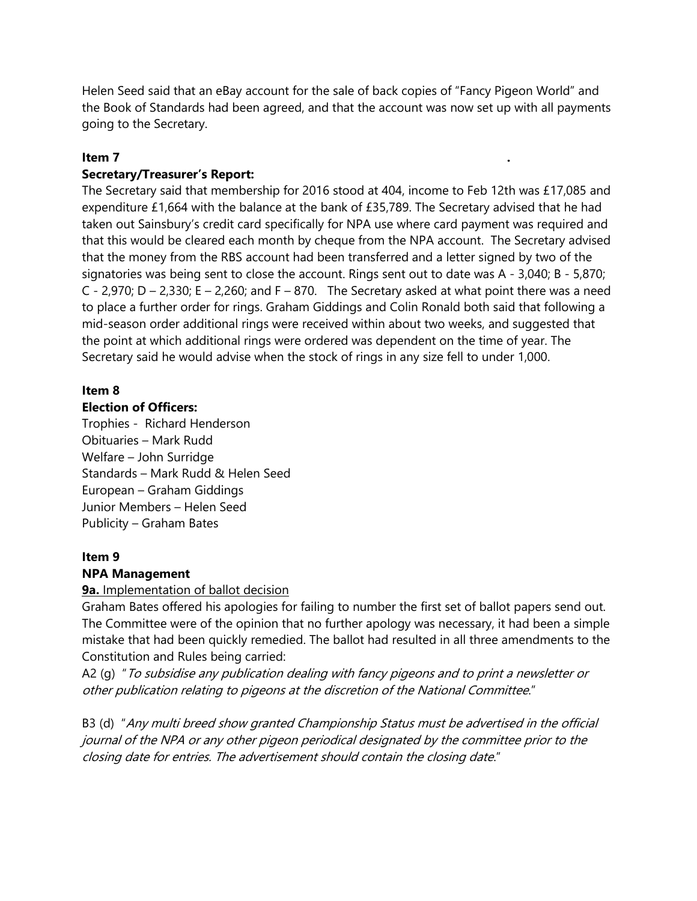Helen Seed said that an eBay account for the sale of back copies of "Fancy Pigeon World" and the Book of Standards had been agreed, and that the account was now set up with all payments going to the Secretary.

### **Item 7 .**

### **Secretary/Treasurer's Report:**

The Secretary said that membership for 2016 stood at 404, income to Feb 12th was £17,085 and expenditure £1,664 with the balance at the bank of £35,789. The Secretary advised that he had taken out Sainsbury's credit card specifically for NPA use where card payment was required and that this would be cleared each month by cheque from the NPA account. The Secretary advised that the money from the RBS account had been transferred and a letter signed by two of the signatories was being sent to close the account. Rings sent out to date was A - 3,040; B - 5,870; C - 2,970; D – 2,330; E – 2,260; and F – 870. The Secretary asked at what point there was a need to place a further order for rings. Graham Giddings and Colin Ronald both said that following a mid-season order additional rings were received within about two weeks, and suggested that the point at which additional rings were ordered was dependent on the time of year. The Secretary said he would advise when the stock of rings in any size fell to under 1,000.

#### **Item 8 Election of Officers:**

Trophies - Richard Henderson Obituaries – Mark Rudd Welfare – John Surridge Standards – Mark Rudd & Helen Seed European – Graham Giddings Junior Members – Helen Seed Publicity – Graham Bates

## **Item 9**

### **NPA Management**

### **9a.** Implementation of ballot decision

Graham Bates offered his apologies for failing to number the first set of ballot papers send out. The Committee were of the opinion that no further apology was necessary, it had been a simple mistake that had been quickly remedied. The ballot had resulted in all three amendments to the Constitution and Rules being carried:

A2 (g) " To subsidise any publication dealing with fancy pigeons and to print a newsletter or other publication relating to pigeons at the discretion of the National Committee."

B3 (d) "Any multi breed show granted Championship Status must be advertised in the official journal of the NPA or any other pigeon periodical designated by the committee prior to the closing date for entries. The advertisement should contain the closing date."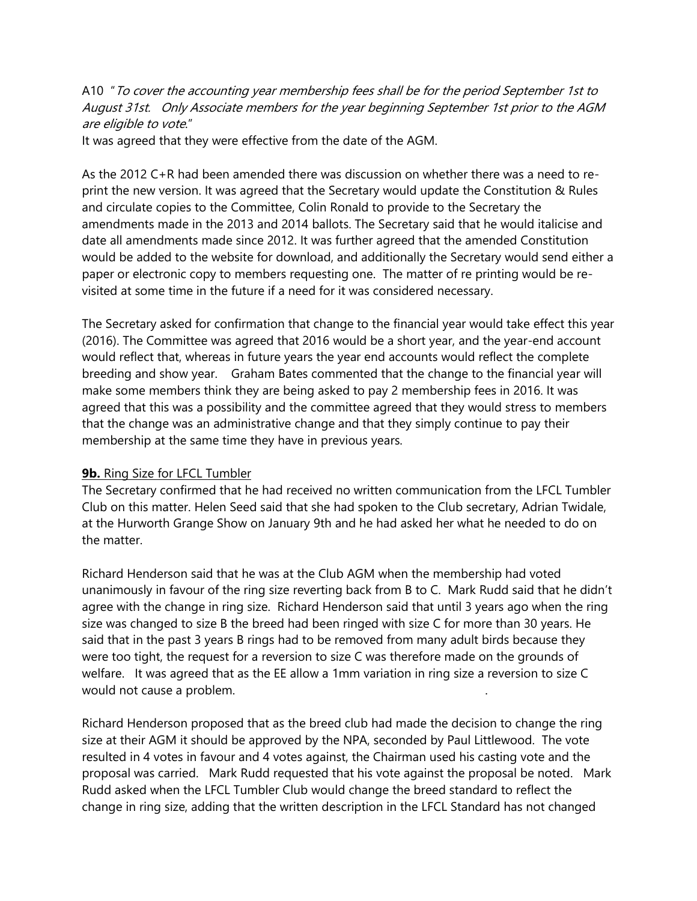A10 " To cover the accounting year membership fees shall be for the period September 1st to August 31st. Only Associate members for the year beginning September 1st prior to the AGM are eligible to vote."

It was agreed that they were effective from the date of the AGM.

As the 2012 C+R had been amended there was discussion on whether there was a need to reprint the new version. It was agreed that the Secretary would update the Constitution & Rules and circulate copies to the Committee, Colin Ronald to provide to the Secretary the amendments made in the 2013 and 2014 ballots. The Secretary said that he would italicise and date all amendments made since 2012. It was further agreed that the amended Constitution would be added to the website for download, and additionally the Secretary would send either a paper or electronic copy to members requesting one. The matter of re printing would be revisited at some time in the future if a need for it was considered necessary.

The Secretary asked for confirmation that change to the financial year would take effect this year (2016). The Committee was agreed that 2016 would be a short year, and the year-end account would reflect that, whereas in future years the year end accounts would reflect the complete breeding and show year. Graham Bates commented that the change to the financial year will make some members think they are being asked to pay 2 membership fees in 2016. It was agreed that this was a possibility and the committee agreed that they would stress to members that the change was an administrative change and that they simply continue to pay their membership at the same time they have in previous years.

### **9b.** Ring Size for LFCL Tumbler

The Secretary confirmed that he had received no written communication from the LFCL Tumbler Club on this matter. Helen Seed said that she had spoken to the Club secretary, Adrian Twidale, at the Hurworth Grange Show on January 9th and he had asked her what he needed to do on the matter.

Richard Henderson said that he was at the Club AGM when the membership had voted unanimously in favour of the ring size reverting back from B to C. Mark Rudd said that he didn't agree with the change in ring size. Richard Henderson said that until 3 years ago when the ring size was changed to size B the breed had been ringed with size C for more than 30 years. He said that in the past 3 years B rings had to be removed from many adult birds because they were too tight, the request for a reversion to size C was therefore made on the grounds of welfare. It was agreed that as the EE allow a 1mm variation in ring size a reversion to size C would not cause a problem. .

Richard Henderson proposed that as the breed club had made the decision to change the ring size at their AGM it should be approved by the NPA, seconded by Paul Littlewood. The vote resulted in 4 votes in favour and 4 votes against, the Chairman used his casting vote and the proposal was carried. Mark Rudd requested that his vote against the proposal be noted. Mark Rudd asked when the LFCL Tumbler Club would change the breed standard to reflect the change in ring size, adding that the written description in the LFCL Standard has not changed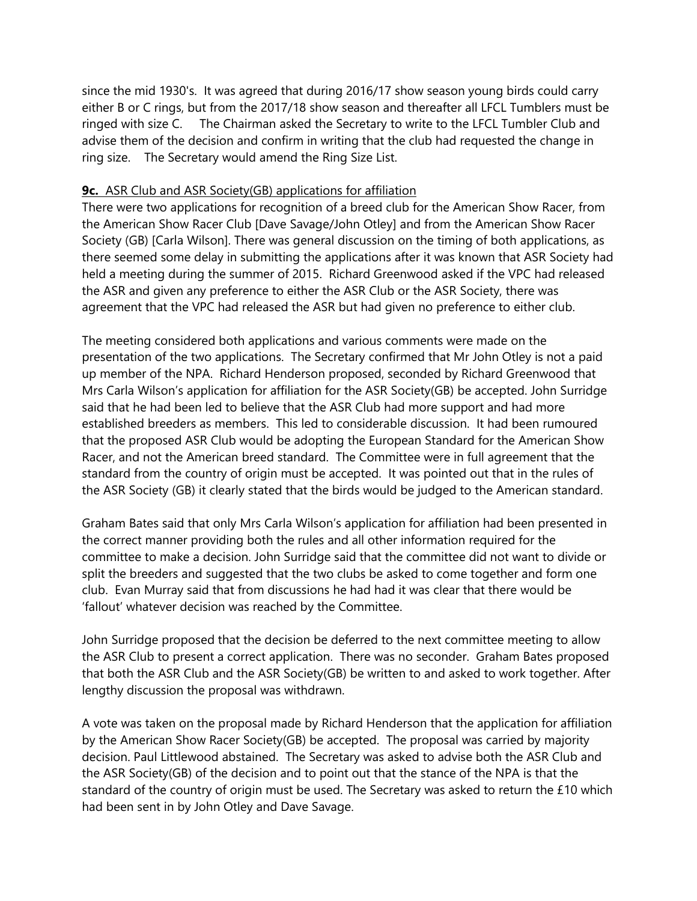since the mid 1930's. It was agreed that during 2016/17 show season young birds could carry either B or C rings, but from the 2017/18 show season and thereafter all LFCL Tumblers must be ringed with size C. The Chairman asked the Secretary to write to the LFCL Tumbler Club and advise them of the decision and confirm in writing that the club had requested the change in ring size. The Secretary would amend the Ring Size List.

### **9c.** ASR Club and ASR Society(GB) applications for affiliation

There were two applications for recognition of a breed club for the American Show Racer, from the American Show Racer Club [Dave Savage/John Otley] and from the American Show Racer Society (GB) [Carla Wilson]. There was general discussion on the timing of both applications, as there seemed some delay in submitting the applications after it was known that ASR Society had held a meeting during the summer of 2015. Richard Greenwood asked if the VPC had released the ASR and given any preference to either the ASR Club or the ASR Society, there was agreement that the VPC had released the ASR but had given no preference to either club.

The meeting considered both applications and various comments were made on the presentation of the two applications. The Secretary confirmed that Mr John Otley is not a paid up member of the NPA. Richard Henderson proposed, seconded by Richard Greenwood that Mrs Carla Wilson's application for affiliation for the ASR Society(GB) be accepted. John Surridge said that he had been led to believe that the ASR Club had more support and had more established breeders as members. This led to considerable discussion. It had been rumoured that the proposed ASR Club would be adopting the European Standard for the American Show Racer, and not the American breed standard. The Committee were in full agreement that the standard from the country of origin must be accepted. It was pointed out that in the rules of the ASR Society (GB) it clearly stated that the birds would be judged to the American standard.

Graham Bates said that only Mrs Carla Wilson's application for affiliation had been presented in the correct manner providing both the rules and all other information required for the committee to make a decision. John Surridge said that the committee did not want to divide or split the breeders and suggested that the two clubs be asked to come together and form one club. Evan Murray said that from discussions he had had it was clear that there would be 'fallout' whatever decision was reached by the Committee.

John Surridge proposed that the decision be deferred to the next committee meeting to allow the ASR Club to present a correct application. There was no seconder. Graham Bates proposed that both the ASR Club and the ASR Society(GB) be written to and asked to work together. After lengthy discussion the proposal was withdrawn.

A vote was taken on the proposal made by Richard Henderson that the application for affiliation by the American Show Racer Society(GB) be accepted. The proposal was carried by majority decision. Paul Littlewood abstained. The Secretary was asked to advise both the ASR Club and the ASR Society(GB) of the decision and to point out that the stance of the NPA is that the standard of the country of origin must be used. The Secretary was asked to return the £10 which had been sent in by John Otley and Dave Savage.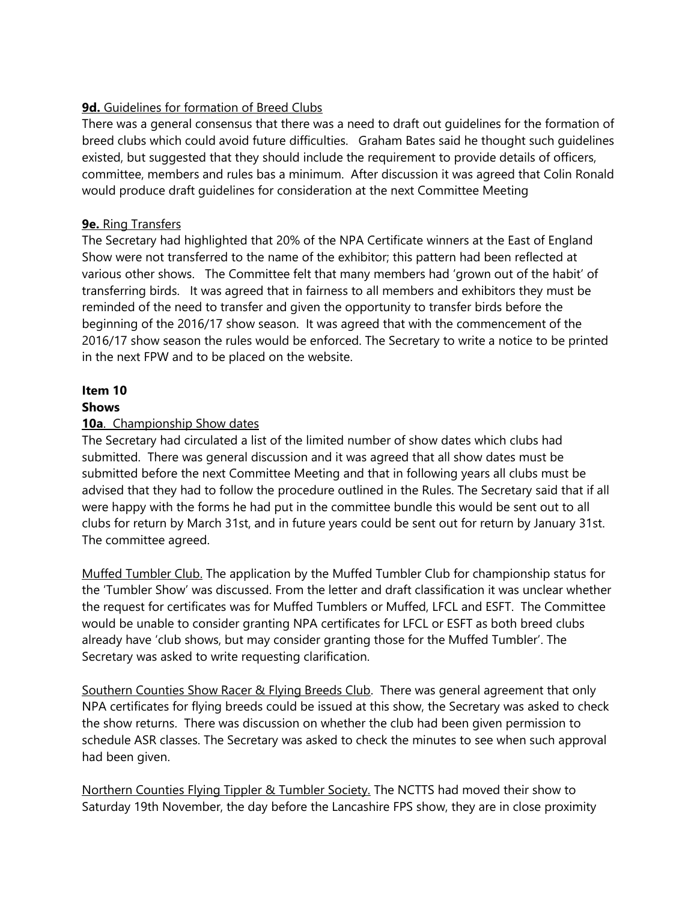### **9d.** Guidelines for formation of Breed Clubs

There was a general consensus that there was a need to draft out guidelines for the formation of breed clubs which could avoid future difficulties. Graham Bates said he thought such guidelines existed, but suggested that they should include the requirement to provide details of officers, committee, members and rules bas a minimum. After discussion it was agreed that Colin Ronald would produce draft guidelines for consideration at the next Committee Meeting

### **9e.** Ring Transfers

The Secretary had highlighted that 20% of the NPA Certificate winners at the East of England Show were not transferred to the name of the exhibitor; this pattern had been reflected at various other shows. The Committee felt that many members had 'grown out of the habit' of transferring birds. It was agreed that in fairness to all members and exhibitors they must be reminded of the need to transfer and given the opportunity to transfer birds before the beginning of the 2016/17 show season. It was agreed that with the commencement of the 2016/17 show season the rules would be enforced. The Secretary to write a notice to be printed in the next FPW and to be placed on the website.

#### **Item 10 Shows**

### **10a**. Championship Show dates

The Secretary had circulated a list of the limited number of show dates which clubs had submitted. There was general discussion and it was agreed that all show dates must be submitted before the next Committee Meeting and that in following years all clubs must be advised that they had to follow the procedure outlined in the Rules. The Secretary said that if all were happy with the forms he had put in the committee bundle this would be sent out to all clubs for return by March 31st, and in future years could be sent out for return by January 31st. The committee agreed.

Muffed Tumbler Club. The application by the Muffed Tumbler Club for championship status for the 'Tumbler Show' was discussed. From the letter and draft classification it was unclear whether the request for certificates was for Muffed Tumblers or Muffed, LFCL and ESFT. The Committee would be unable to consider granting NPA certificates for LFCL or ESFT as both breed clubs already have 'club shows, but may consider granting those for the Muffed Tumbler'. The Secretary was asked to write requesting clarification.

Southern Counties Show Racer & Flying Breeds Club. There was general agreement that only NPA certificates for flying breeds could be issued at this show, the Secretary was asked to check the show returns. There was discussion on whether the club had been given permission to schedule ASR classes. The Secretary was asked to check the minutes to see when such approval had been given.

Northern Counties Flying Tippler & Tumbler Society. The NCTTS had moved their show to Saturday 19th November, the day before the Lancashire FPS show, they are in close proximity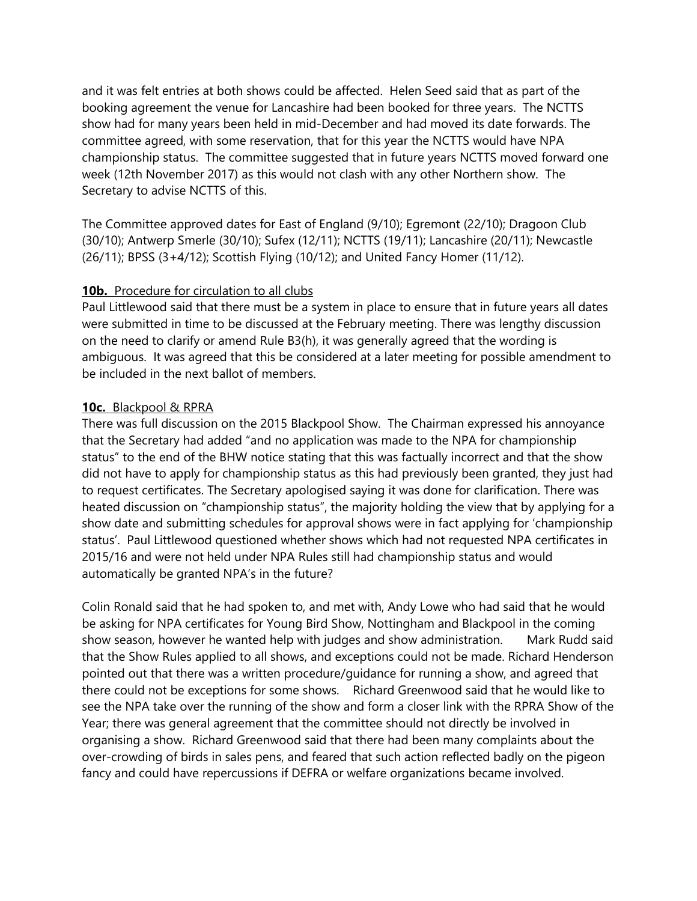and it was felt entries at both shows could be affected. Helen Seed said that as part of the booking agreement the venue for Lancashire had been booked for three years. The NCTTS show had for many years been held in mid-December and had moved its date forwards. The committee agreed, with some reservation, that for this year the NCTTS would have NPA championship status. The committee suggested that in future years NCTTS moved forward one week (12th November 2017) as this would not clash with any other Northern show. The Secretary to advise NCTTS of this.

The Committee approved dates for East of England (9/10); Egremont (22/10); Dragoon Club (30/10); Antwerp Smerle (30/10); Sufex (12/11); NCTTS (19/11); Lancashire (20/11); Newcastle (26/11); BPSS (3+4/12); Scottish Flying (10/12); and United Fancy Homer (11/12).

### **10b.** Procedure for circulation to all clubs

Paul Littlewood said that there must be a system in place to ensure that in future years all dates were submitted in time to be discussed at the February meeting. There was lengthy discussion on the need to clarify or amend Rule B3(h), it was generally agreed that the wording is ambiguous. It was agreed that this be considered at a later meeting for possible amendment to be included in the next ballot of members.

### **10c.** Blackpool & RPRA

There was full discussion on the 2015 Blackpool Show. The Chairman expressed his annoyance that the Secretary had added "and no application was made to the NPA for championship status" to the end of the BHW notice stating that this was factually incorrect and that the show did not have to apply for championship status as this had previously been granted, they just had to request certificates. The Secretary apologised saying it was done for clarification. There was heated discussion on "championship status", the majority holding the view that by applying for a show date and submitting schedules for approval shows were in fact applying for 'championship status'. Paul Littlewood questioned whether shows which had not requested NPA certificates in 2015/16 and were not held under NPA Rules still had championship status and would automatically be granted NPA's in the future?

Colin Ronald said that he had spoken to, and met with, Andy Lowe who had said that he would be asking for NPA certificates for Young Bird Show, Nottingham and Blackpool in the coming show season, however he wanted help with judges and show administration. Mark Rudd said that the Show Rules applied to all shows, and exceptions could not be made. Richard Henderson pointed out that there was a written procedure/guidance for running a show, and agreed that there could not be exceptions for some shows. Richard Greenwood said that he would like to see the NPA take over the running of the show and form a closer link with the RPRA Show of the Year; there was general agreement that the committee should not directly be involved in organising a show. Richard Greenwood said that there had been many complaints about the over-crowding of birds in sales pens, and feared that such action reflected badly on the pigeon fancy and could have repercussions if DEFRA or welfare organizations became involved.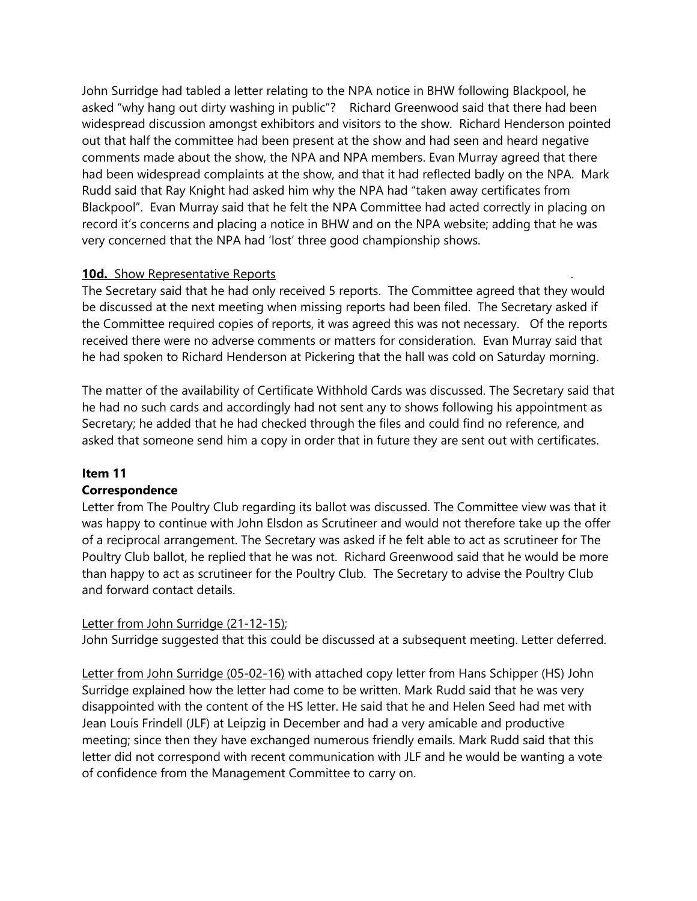John Surridge had tabled a letter relating to the NPA notice in BHW following Blackpool, he asked "why hang out dirty washing in public"? Richard Greenwood said that there had been widespread discussion amongst exhibitors and visitors to the show. Richard Henderson pointed out that half the committee had been present at the show and had seen and heard negative comments made about the show, the NPA and NPA members. Evan Murray agreed that there had been widespread complaints at the show, and that it had reflected badly on the NPA. Mark Rudd said that Ray Knight had asked him why the NPA had "taken away certificates from Blackpool". Evan Murray said that he felt the NPA Committee had acted correctly in placing on record it's concerns and placing a notice in BHW and on the NPA website; adding that he was very concerned that the NPA had 'lost' three good championship shows.

### **10d.** Show Representative Reports

The Secretary said that he had only received 5 reports. The Committee agreed that they would be discussed at the next meeting when missing reports had been filed. The Secretary asked if the Committee required copies of reports, it was agreed this was not necessary. Of the reports received there were no adverse comments or matters for consideration. Evan Murray said that he had spoken to Richard Henderson at Pickering that the hall was cold on Saturday morning.

The matter of the availability of Certificate Withhold Cards was discussed. The Secretary said that he had no such cards and accordingly had not sent any to shows following his appointment as Secretary; he added that he had checked through the files and could find no reference, and asked that someone send him a copy in order that in future they are sent out with certificates.

### **Item 11**

### **Correspondence**

Letter from The Poultry Club regarding its ballot was discussed. The Committee view was that it was happy to continue with John Elsdon as Scrutineer and would not therefore take up the offer of a reciprocal arrangement. The Secretary was asked if he felt able to act as scrutineer for The Poultry Club ballot, he replied that he was not. Richard Greenwood said that he would be more than happy to act as scrutineer for the Poultry Club. The Secretary to advise the Poultry Club and forward contact details.

### Letter from John Surridge (21-12-15);

John Surridge suggested that this could be discussed at a subsequent meeting. Letter deferred.

Letter from John Surridge (05-02-16) with attached copy letter from Hans Schipper (HS) John Surridge explained how the letter had come to be written. Mark Rudd said that he was very disappointed with the content of the HS letter. He said that he and Helen Seed had met with Jean Louis Frindell (JLF) at Leipzig in December and had a very amicable and productive meeting; since then they have exchanged numerous friendly emails. Mark Rudd said that this letter did not correspond with recent communication with JLF and he would be wanting a vote of confidence from the Management Committee to carry on.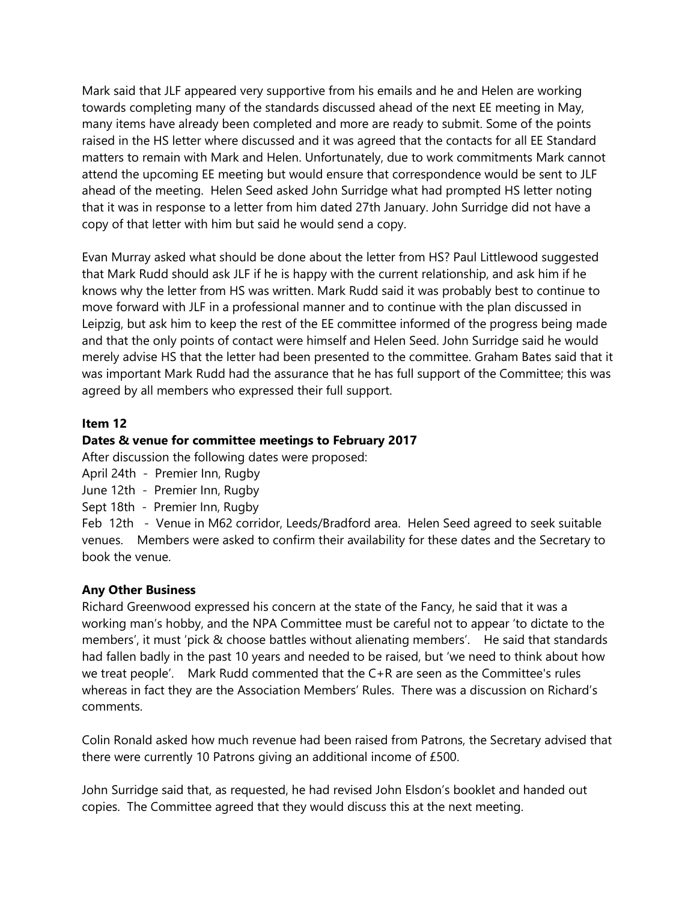Mark said that JLF appeared very supportive from his emails and he and Helen are working towards completing many of the standards discussed ahead of the next EE meeting in May, many items have already been completed and more are ready to submit. Some of the points raised in the HS letter where discussed and it was agreed that the contacts for all EE Standard matters to remain with Mark and Helen. Unfortunately, due to work commitments Mark cannot attend the upcoming EE meeting but would ensure that correspondence would be sent to JLF ahead of the meeting. Helen Seed asked John Surridge what had prompted HS letter noting that it was in response to a letter from him dated 27th January. John Surridge did not have a copy of that letter with him but said he would send a copy.

Evan Murray asked what should be done about the letter from HS? Paul Littlewood suggested that Mark Rudd should ask JLF if he is happy with the current relationship, and ask him if he knows why the letter from HS was written. Mark Rudd said it was probably best to continue to move forward with JLF in a professional manner and to continue with the plan discussed in Leipzig, but ask him to keep the rest of the EE committee informed of the progress being made and that the only points of contact were himself and Helen Seed. John Surridge said he would merely advise HS that the letter had been presented to the committee. Graham Bates said that it was important Mark Rudd had the assurance that he has full support of the Committee; this was agreed by all members who expressed their full support.

#### **Item 12**

#### **Dates & venue for committee meetings to February 2017**

After discussion the following dates were proposed:

- April 24th Premier Inn, Rugby
- June 12th Premier Inn, Rugby
- Sept 18th Premier Inn, Rugby

Feb 12th - Venue in M62 corridor, Leeds/Bradford area. Helen Seed agreed to seek suitable venues. Members were asked to confirm their availability for these dates and the Secretary to book the venue.

#### **Any Other Business**

Richard Greenwood expressed his concern at the state of the Fancy, he said that it was a working man's hobby, and the NPA Committee must be careful not to appear 'to dictate to the members', it must 'pick & choose battles without alienating members'. He said that standards had fallen badly in the past 10 years and needed to be raised, but 'we need to think about how we treat people'. Mark Rudd commented that the C+R are seen as the Committee's rules whereas in fact they are the Association Members' Rules. There was a discussion on Richard's comments.

Colin Ronald asked how much revenue had been raised from Patrons, the Secretary advised that there were currently 10 Patrons giving an additional income of £500.

John Surridge said that, as requested, he had revised John Elsdon's booklet and handed out copies. The Committee agreed that they would discuss this at the next meeting.